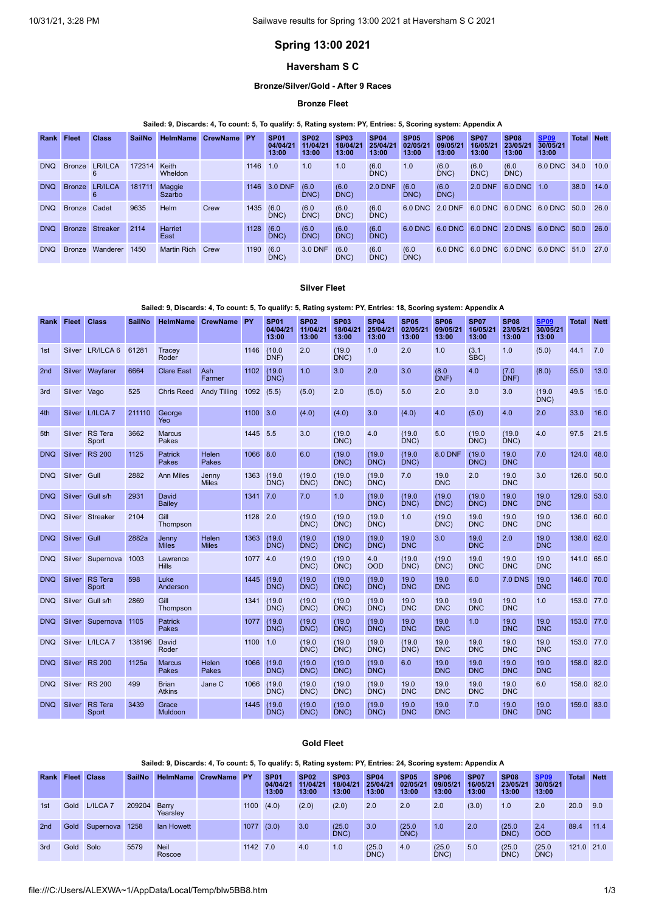# **Spring 13:00 2021**

## **Haversham S C**

### **Bronze/Silver/Gold - After 9 Races**

### **Bronze Fleet**

### Sailed: 9, Discards: 4, To count: 5, To qualify: 5, Rating system: PY, Entries: 5, Scoring system: Appendix A

| <b>Rank Fleet</b> |               | <b>Class</b>    | <b>SailNo</b> | <b>HelmName</b>    | <b>CrewName</b> | <b>PY</b> | SP <sub>01</sub><br>04/04/21<br>13:00 | SP <sub>02</sub><br>11/04/21<br>13:00 | SP <sub>03</sub><br>18/04/21<br>13:00 | <b>SP04</b><br>25/04/21<br>13:00 | SP <sub>05</sub><br>02/05/2<br>13:00 | <b>SP06</b><br>09/05/21<br>13:00 | <b>SP07</b><br>16/05/21<br>13:00 | <b>SP08</b><br>23/05/21<br>13:00 | <b>SP09</b><br>30/05/21<br>13:00 | <b>Total Nett</b> |      |
|-------------------|---------------|-----------------|---------------|--------------------|-----------------|-----------|---------------------------------------|---------------------------------------|---------------------------------------|----------------------------------|--------------------------------------|----------------------------------|----------------------------------|----------------------------------|----------------------------------|-------------------|------|
| <b>DNO</b>        | <b>Bronze</b> | LR/ILCA         | 172314        | Keith<br>Wheldon   |                 | 1146      | 1.0                                   | 1.0                                   | 1.0                                   | (6.0)<br>DNC                     | 1.0                                  | (6.0)<br>DNC                     | (6.0)<br>DNC)                    | (6.0)<br>DNC                     | 6.0 DNC                          | 34.0              | 10.0 |
| <b>DNQ</b>        | <b>Bronze</b> | <b>LR/ILCA</b>  | 181711        | Maggie<br>Szarbo   |                 | 1146      | 3.0 DNF                               | (6.0)<br>DNC)                         | (6.0)<br>DNC)                         | <b>2.0 DNF</b>                   | (6.0)<br>DNC)                        | (6.0)<br>DNC)                    | $2.0$ DNF                        | 6.0 DNC 1.0                      |                                  | 38.0              | 14.0 |
| <b>DNO</b>        | <b>Bronze</b> | Cadet           | 9635          | Helm               | Crew            | 1435 (6.0 | DNC)                                  | (6.0)<br>DNC)                         | (6.0)<br>DNC)                         | (6.0)<br>DNC                     | 6.0 DNC                              | 2.0 DNF                          |                                  | 6.0 DNC 6.0 DNC 6.0 DNC          |                                  | 50.0              | 26.0 |
| <b>DNO</b>        | <b>Bronze</b> | <b>Streaker</b> | 2114          | Harriet<br>East    |                 | 1128      | (6.0)<br>DNC)                         | (6.0)<br>DNC)                         | (6.0)<br>DNC)                         | (6.0)<br>DNC)                    | $6.0$ DNC                            |                                  |                                  | 6.0 DNC 6.0 DNC 2.0 DNS          | 6.0 DNC 50.0                     |                   | 26.0 |
| <b>DNO</b>        | <b>Bronze</b> | Wanderer        | 1450          | <b>Martin Rich</b> | Crew            | 1190      | (6.0)<br>DNC)                         | 3.0 DNF                               | (6.0)<br>DNC)                         | (6.0)<br>DNC)                    | (6.0)<br>DNC)                        |                                  |                                  | 6.0 DNC 6.0 DNC 6.0 DNC          | 6.0 DNC                          | 51.0              | 27.0 |

### **Silver Fleet**

### Sailed: 9, Discards: 4, To count: 5, To qualify: 5, Rating system: PY, Entries: 18, Scoring system: Appendix A

| <b>Rank</b>     | <b>Fleet</b> | <b>Class</b>            | <b>SailNo</b> | <b>HelmName</b>                | <b>CrewName</b>       | <b>PY</b> | <b>SP01</b><br>04/04/21<br>13:00 | <b>SP02</b><br>11/04/21<br>13:00 | <b>SP03</b><br>18/04/21<br>13:00 | <b>SP04</b><br>25/04/21<br>13:00 | <b>SP05</b><br>02/05/21<br>13:00 | <b>SP06</b><br>09/05/21<br>13:00 | <b>SP07</b><br>16/05/21<br>13:00 | <b>SP08</b><br>23/05/21<br>13:00 | <b>SP09</b><br>30/05/21<br>13:00 | Total      | <b>Nett</b> |
|-----------------|--------------|-------------------------|---------------|--------------------------------|-----------------------|-----------|----------------------------------|----------------------------------|----------------------------------|----------------------------------|----------------------------------|----------------------------------|----------------------------------|----------------------------------|----------------------------------|------------|-------------|
| 1st             |              | Silver LR/ILCA 6        | 61281         | Tracey<br>Roder                |                       | 1146      | (10.0)<br>DNF)                   | 2.0                              | (19.0)<br>DNC)                   | 1.0                              | 2.0                              | 1.0                              | (3.1)<br>SBC)                    | 1.0                              | (5.0)                            | 44.1       | 7.0         |
| 2 <sub>nd</sub> | Silver       | Wayfarer                | 6664          | <b>Clare East</b>              | Ash<br>Farmer         | 1102      | (19.0)<br>DNC                    | 1.0                              | 3.0                              | 2.0                              | 3.0                              | (8.0)<br>DNF)                    | 4.0                              | (7.0)<br>DNF                     | (8.0)                            | 55.0       | 13.0        |
| 3rd             | Silver Vago  |                         | 525           | <b>Chris Reed</b>              | <b>Andy Tilling</b>   | 1092      | (5.5)                            | (5.0)                            | 2.0                              | (5.0)                            | 5.0                              | 2.0                              | 3.0                              | 3.0                              | (19.0)<br>DNC)                   | 49.5       | 15.0        |
| 4th             |              | Silver L/ILCA 7         | 211110        | George<br>Yeo                  |                       | 1100      | 3.0                              | (4.0)                            | (4.0)                            | 3.0                              | (4.0)                            | 4.0                              | (5.0)                            | 4.0                              | 2.0                              | 33.0       | 16.0        |
| 5th             |              | Silver RS Tera<br>Sport | 3662          | <b>Marcus</b><br>Pakes         |                       | 1445 5.5  |                                  | 3.0                              | (19.0)<br>DNC)                   | 4.0                              | (19.0)<br>DNC)                   | 5.0                              | (19.0)<br>DNC)                   | (19.0)<br>DNC                    | 4.0                              | 97.5       | 21.5        |
| <b>DNQ</b>      | Silver       | <b>RS 200</b>           | 1125          | <b>Patrick</b><br><b>Pakes</b> | Helen<br>Pakes        | 1066 8.0  |                                  | 6.0                              | (19.0)<br>DNC)                   | (19.0)<br>DNC)                   | (19.0)<br>DNC)                   | <b>8.0 DNF</b>                   | (19.0)<br>DNC)                   | 19.0<br><b>DNC</b>               | 7.0                              | 124.0      | 48.0        |
| <b>DNQ</b>      | Silver       | Gull                    | 2882          | <b>Ann Miles</b>               | Jenny<br><b>Miles</b> | 1363      | (19.0)<br>DNC)                   | (19.0)<br>DNC)                   | (19.0)<br>DNC                    | (19.0)<br>DNC)                   | 7.0                              | 19.0<br><b>DNC</b>               | 2.0                              | 19.0<br><b>DNC</b>               | 3.0                              | 126.0 50.0 |             |
| <b>DNQ</b>      | Silver       | Gull s/h                | 2931          | David<br>Bailey                |                       | 1341      | 7.0                              | 7.0                              | 1.0                              | (19.0)<br>DNC)                   | (19.0)<br>DNC)                   | (19.0)<br>DNC)                   | (19.0)<br>DNC)                   | 19.0<br><b>DNC</b>               | 19.0<br><b>DNC</b>               | 129.0      | 53.0        |
| <b>DNQ</b>      |              | Silver Streaker         | 2104          | Gill<br>Thompson               |                       | 1128 2.0  |                                  | (19.0)<br>DNC)                   | (19.0)<br>DNC)                   | (19.0)<br>DNC)                   | 1.0                              | (19.0)<br>DNC)                   | 19.0<br><b>DNC</b>               | 19.0<br><b>DNC</b>               | 19.0<br><b>DNC</b>               | 136.0 60.0 |             |
| <b>DNQ</b>      | Silver       | Gull                    | 2882a         | Jenny<br><b>Miles</b>          | Helen<br><b>Miles</b> | 1363      | (19.0)<br>DNC)                   | (19.0)<br>DNC                    | (19.0)<br>DNC                    | (19.0)<br>DNC)                   | 19.0<br><b>DNC</b>               | 3.0                              | 19.0<br><b>DNC</b>               | 2.0                              | 19.0<br><b>DNC</b>               | 138.0      | 62.0        |
| <b>DNQ</b>      |              | Silver Supernova        | 1003          | Lawrence<br><b>Hills</b>       |                       | 1077 4.0  |                                  | (19.0)<br>DNC)                   | (19.0)<br>DNC)                   | 4.0<br><b>OOD</b>                | (19.0)<br>DNC)                   | (19.0)<br>DNC)                   | 19.0<br><b>DNC</b>               | 19.0<br><b>DNC</b>               | 19.0<br><b>DNC</b>               | 141.0 65.0 |             |
| <b>DNQ</b>      | Silver       | <b>RS</b> Tera<br>Sport | 598           | Luke<br>Anderson               |                       | 1445      | (19.0)<br>DNC)                   | (19.0)<br>DNC)                   | (19.0)<br>DNC)                   | (19.0)<br>DNC)                   | 19.0<br><b>DNC</b>               | 19.0<br><b>DNC</b>               | 6.0                              | <b>7.0 DNS</b>                   | 19.0<br><b>DNC</b>               | 146.0      | 70.0        |
| <b>DNQ</b>      | Silver       | Gull s/h                | 2869          | Gill<br>Thompson               |                       | 1341      | (19.0)<br>DNC)                   | (19.0)<br>DNC                    | (19.0)<br>DNC)                   | (19.0)<br>DNC)                   | 19.0<br><b>DNC</b>               | 19.0<br><b>DNC</b>               | 19.0<br><b>DNC</b>               | 19.0<br><b>DNC</b>               | 1.0                              | 153.0 77.0 |             |
| <b>DNQ</b>      | Silver       | Supernova               | 1105          | <b>Patrick</b><br>Pakes        |                       | 1077      | (19.0)<br>DNC)                   | (19.0)<br>DNC)                   | (19.0)<br>DNC                    | (19.0)<br>DNC)                   | 19.0<br><b>DNC</b>               | 19.0<br><b>DNC</b>               | 1.0                              | 19.0<br><b>DNC</b>               | 19.0<br><b>DNC</b>               | 153.0 77.0 |             |
| DNO             |              | Silver L/ILCA 7         | 138196        | David<br>Roder                 |                       | 1100      | 1.0                              | (19.0)<br>DNC)                   | (19.0)<br>DNC)                   | (19.0)<br>DNC)                   | (19.0)<br>DNC)                   | 19.0<br><b>DNC</b>               | 19.0<br><b>DNC</b>               | 19.0<br><b>DNC</b>               | 19.0<br><b>DNC</b>               | 153.0 77.0 |             |
| <b>DNQ</b>      |              | Silver RS 200           | 1125a         | <b>Marcus</b><br>Pakes         | Helen<br>Pakes        | 1066      | (19.0)<br>DNC)                   | (19.0)<br>DNC)                   | (19.0)<br>DNC)                   | (19.0)<br>DNC)                   | 6.0                              | 19.0<br><b>DNC</b>               | 19.0<br><b>DNC</b>               | 19.0<br><b>DNC</b>               | 19.0<br><b>DNC</b>               | 158.0      | 82.0        |
| <b>DNQ</b>      |              | Silver RS 200           | 499           | <b>Brian</b><br><b>Atkins</b>  | Jane C                | 1066      | (19.0)<br>DNC)                   | (19.0)<br>DNC                    | (19.0)<br>DNC)                   | (19.0)<br>DNC)                   | 19.0<br><b>DNC</b>               | 19.0<br><b>DNC</b>               | 19.0<br><b>DNC</b>               | 19.0<br><b>DNC</b>               | 6.0                              | 158.0 82.0 |             |
| <b>DNQ</b>      | Silver       | <b>RS</b> Tera<br>Sport | 3439          | Grace<br><b>Muldoon</b>        |                       | 1445      | (19.0)<br>DNC)                   | (19.0)<br>DNC)                   | (19.0)<br>DNC                    | (19.0)<br>DNC)                   | 19.0<br><b>DNC</b>               | 19.0<br><b>DNC</b>               | 7.0                              | 19.0<br><b>DNC</b>               | 19.0<br><b>DNC</b>               | 159.0 83.0 |             |

## **Gold Fleet**

### Sailed: 9, Discards: 4, To count: 5, To qualify: 5, Rating system: PY, Entries: 24, Scoring system: Appendix A

| Rank            |      | <b>Fleet Class</b>  | <b>SailNo</b> | HelmName              | CrewName PY |          | SP <sub>01</sub><br>04/04/21<br>13:00 | <b>SP02</b><br>11/04/21<br>13:00 | <b>SP03</b><br>18/04/21<br>13:00 | <b>SP04</b><br>25/04/21<br>13:00 | SP <sub>05</sub><br>02/05/21<br>13:00 | SP <sub>06</sub><br>09/05/21<br>13:00 | <b>SP07</b><br>16/05/21<br>13:00 | SP <sub>08</sub><br>23/05/21<br>13:00 | <b>SP09</b><br>30/05/21<br>13:00 | <b>Total</b> | <b>Nett</b> |
|-----------------|------|---------------------|---------------|-----------------------|-------------|----------|---------------------------------------|----------------------------------|----------------------------------|----------------------------------|---------------------------------------|---------------------------------------|----------------------------------|---------------------------------------|----------------------------------|--------------|-------------|
| 1st             | Gold | L/ILCA <sub>7</sub> | 209204        | Barry<br>Yearslev     |             | 1100     | (4.0)                                 | (2.0)                            | (2.0)                            | 2.0                              | 2.0                                   | 2.0                                   | (3.0)                            | 1.0                                   | 2.0                              | 20.0         | 9.0         |
| 2 <sub>nd</sub> | Gold | Supernova 1258      |               | lan Howett            |             | 1077     | (3.0)                                 | 3.0                              | (25.0)<br>DNC)                   | 3.0                              | (25.0)<br>DNC)                        | 1.0                                   | 2.0                              | (25.0)<br>DNC)                        | 2.4<br><b>OOD</b>                | 89.4         | 11.4        |
| 3rd             | Gold | Solo                | 5579          | <b>Neil</b><br>Roscoe |             | 1142 7.0 |                                       | 4.0                              | 1.0                              | (25.0)<br>DNC                    | 4.0                                   | (25.0)<br>DNC)                        | 5.0                              | (25.0)<br>DNC)                        | (25.0)<br>DNC)                   | 121.0 21.0   |             |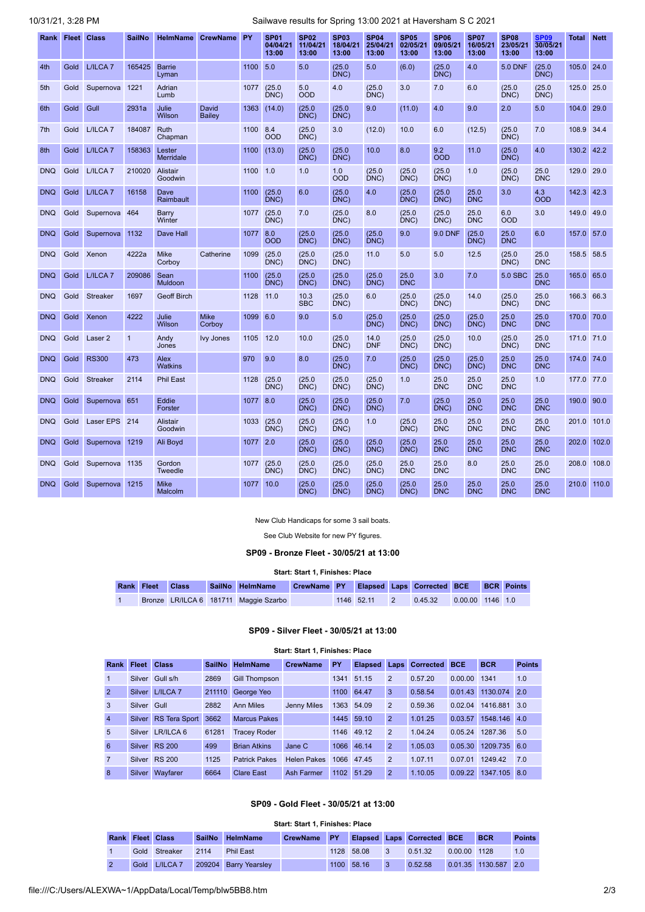# 10/31/21, 3:28 PM Sailwave results for Spring 13:00 2021 at Haversham S C 2021

|            |      | Rank Fleet Class    | <b>SailNo</b> | <b>HelmName</b>            | <b>CrewName</b>        | PY   | <b>SP01</b><br>04/04/21<br>13:00 | <b>SP02</b><br>11/04/21<br>13:00 | <b>SP03</b><br>18/04/21<br>13:00 | <b>SP04</b><br>25/04/21<br>13:00 | <b>SP05</b><br>02/05/21<br>13:00 | SP06<br>09/05/21<br>13:00 | <b>SP07</b><br>16/05/21<br>13:00 | <b>SP08</b><br>23/05/21<br>13:00 | SP <sub>09</sub><br>30/05/21<br>13:00 | Total      | <b>Nett</b> |
|------------|------|---------------------|---------------|----------------------------|------------------------|------|----------------------------------|----------------------------------|----------------------------------|----------------------------------|----------------------------------|---------------------------|----------------------------------|----------------------------------|---------------------------------------|------------|-------------|
| 4th        | Gold | L/ILCA <sub>7</sub> | 165425        | <b>Barrie</b><br>Lyman     |                        | 1100 | 5.0                              | 5.0                              | (25.0)<br>DNC)                   | 5.0                              | (6.0)                            | (25.0)<br>DNC)            | 4.0                              | <b>5.0 DNF</b>                   | (25.0)<br>DNC                         | 105.0 24.0 |             |
| 5th        | Gold | Supernova           | 1221          | Adrian<br>Lumb             |                        | 1077 | (25.0)<br>DNC)                   | 5.0<br><b>OOD</b>                | 4.0                              | (25.0)<br>DNC)                   | 3.0                              | 7.0                       | 6.0                              | (25.0)<br>DNC)                   | (25.0)<br>DNC)                        | 125.0 25.0 |             |
| 6th        | Gold | Gull                | 2931a         | Julie<br><b>Wilson</b>     | <b>David</b><br>Bailey | 1363 | (14.0)                           | (25.0)<br>DNC)                   | (25.0)<br>DNC)                   | 9.0                              | (11.0)                           | 4.0                       | 9.0                              | 2.0                              | 5.0                                   | 104.0      | 29.0        |
| 7th        | Gold | L/ILCA <sub>7</sub> | 184087        | Ruth<br>Chapman            |                        | 1100 | 8.4<br><b>OOD</b>                | (25.0)<br>DNC)                   | 3.0                              | (12.0)                           | 10.0                             | 6.0                       | (12.5)                           | (25.0)<br>DNC)                   | 7.0                                   | 108.9      | 34.4        |
| 8th        | Gold | L/ILCA <sub>7</sub> | 158363        | Lester<br><b>Merridale</b> |                        | 1100 | (13.0)                           | (25.0)<br>DNC)                   | (25.0)<br>DNC)                   | 10.0                             | 8.0                              | 9.2<br><b>OOD</b>         | 11.0                             | (25.0)<br>DNC)                   | 4.0                                   | 130.2      | 42.2        |
| <b>DNQ</b> | Gold | L/ILCA <sub>7</sub> | 210020        | Alistair<br>Goodwin        |                        | 1100 | 1.0                              | 1.0                              | 1.0<br><b>OOD</b>                | (25.0)<br>DNC)                   | (25.0)<br>DNC)                   | (25.0)<br>DNC)            | 1.0                              | (25.0)<br>DNC)                   | 25.0<br><b>DNC</b>                    | 129.0      | 29.0        |
| <b>DNQ</b> | Gold | L/ILCA <sub>7</sub> | 16158         | Dave<br>Raimbault          |                        | 1100 | (25.0)<br>DNC)                   | 6.0                              | (25.0)<br>DNC)                   | 4.0                              | (25.0)<br>DNC)                   | (25.0)<br>DNC)            | 25.0<br><b>DNC</b>               | 3.0                              | 4.3<br><b>OOD</b>                     | 142.3      | 42.3        |
| <b>DNQ</b> | Gold | Supernova           | 464           | Barry<br>Winter            |                        | 1077 | (25.0)<br>DNC)                   | 7.0                              | (25.0)<br>DNC)                   | 8.0                              | (25.0)<br>DNC)                   | (25.0)<br>DNC)            | 25.0<br><b>DNC</b>               | 6.0<br><b>OOD</b>                | 3.0                                   | 149.0      | 49.0        |
| <b>DNQ</b> | Gold | Supernova           | 1132          | Dave Hall                  |                        | 1077 | 8.0<br><b>OOD</b>                | (25.0)<br>DNC)                   | (25.0)<br>DNC)                   | (25.0)<br>DNC)                   | 9.0                              | 9.0 DNF                   | (25.0)<br>DNC)                   | 25.0<br><b>DNC</b>               | 6.0                                   | 157.0      | 57.0        |
| <b>DNQ</b> | Gold | Xenon               | 4222a         | Mike<br>Corboy             | Catherine              | 1099 | (25.0)<br>DNC)                   | (25.0)<br>DNC)                   | (25.0)<br>DNC                    | 11.0                             | 5.0                              | 5.0                       | 12.5                             | (25.0)<br>DNC)                   | 25.0<br><b>DNC</b>                    | 158.5      | 58.5        |
| <b>DNQ</b> | Gold | L/ILCA <sub>7</sub> | 209086        | Sean<br>Muldoon            |                        | 1100 | (25.0)<br>DNC)                   | (25.0)<br>DNC)                   | (25.0)<br>DNC)                   | (25.0)<br>DNC)                   | 25.0<br><b>DNC</b>               | 3.0                       | 7.0                              | 5.0 SBC                          | 25.0<br><b>DNC</b>                    | 165.0      | 65.0        |
| <b>DNQ</b> | Gold | <b>Streaker</b>     | 1697          | <b>Geoff Birch</b>         |                        | 1128 | 11.0                             | 10.3<br><b>SBC</b>               | (25.0)<br>DNC)                   | 6.0                              | (25.0)<br>DNC)                   | (25.0)<br>DNC)            | 14.0                             | (25.0)<br>DNC)                   | 25.0<br><b>DNC</b>                    | 166.3      | 66.3        |
| <b>DNQ</b> | Gold | Xenon               | 4222          | Julie<br>Wilson            | <b>Mike</b><br>Corboy  | 1099 | 6.0                              | 9.0                              | 5.0                              | (25.0)<br>DNC)                   | (25.0)<br>DNC)                   | (25.0)<br>DNC)            | (25.0)<br>DNC)                   | 25.0<br><b>DNC</b>               | 25.0<br><b>DNC</b>                    | 170.0 70.0 |             |
| <b>DNQ</b> | Gold | Laser <sub>2</sub>  | $\mathbf{1}$  | Andy<br>Jones              | <b>Ivy Jones</b>       | 1105 | 12.0                             | 10.0                             | (25.0)<br>DNC)                   | 14.0<br><b>DNF</b>               | (25.0)<br>DNC)                   | (25.0)<br>DNC)            | 10.0                             | (25.0)<br>DNC)                   | 25.0<br><b>DNC</b>                    | 171.0 71.0 |             |
| <b>DNQ</b> | Gold | <b>RS300</b>        | 473           | Alex<br><b>Watkins</b>     |                        | 970  | 9.0                              | 8.0                              | (25.0)<br>DNC)                   | 7.0                              | (25.0)<br>DNC)                   | (25.0)<br>DNC)            | (25.0)<br>DNC)                   | 25.0<br><b>DNC</b>               | 25.0<br><b>DNC</b>                    | 174.0 74.0 |             |
| <b>DNQ</b> | Gold | <b>Streaker</b>     | 2114          | <b>Phil East</b>           |                        | 1128 | (25.0)<br>DNC)                   | (25.0)<br>DNC)                   | (25.0)<br>DNC)                   | (25.0)<br>DNC)                   | 1.0                              | 25.0<br><b>DNC</b>        | 25.0<br><b>DNC</b>               | 25.0<br><b>DNC</b>               | 1.0                                   | 177.0 77.0 |             |
| <b>DNQ</b> | Gold | Supernova           | 651           | Eddie<br>Forster           |                        | 1077 | 8.0                              | (25.0)<br>DNC)                   | (25.0)<br>DNC)                   | (25.0)<br>DNC)                   | 7.0                              | (25.0)<br>DNC)            | 25.0<br><b>DNC</b>               | 25.0<br><b>DNC</b>               | 25.0<br><b>DNC</b>                    | 190.0      | 90.0        |
| <b>DNQ</b> | Gold | Laser EPS 214       |               | <b>Alistair</b><br>Goodwin |                        | 1033 | (25.0)<br>DNC)                   | (25.0)<br>DNC)                   | (25.0)<br>DNC)                   | 1.0                              | (25.0)<br>DNC)                   | 25.0<br><b>DNC</b>        | 25.0<br><b>DNC</b>               | 25.0<br><b>DNC</b>               | 25.0<br><b>DNC</b>                    | 201.0      | 101.0       |
| <b>DNQ</b> | Gold | Supernova           | 1219          | Ali Boyd                   |                        | 1077 | 2.0                              | (25.0)<br>DNC)                   | (25.0)<br>DNC)                   | (25.0)<br>DNC)                   | (25.0)<br>DNC)                   | 25.0<br><b>DNC</b>        | 25.0<br><b>DNC</b>               | 25.0<br><b>DNC</b>               | 25.0<br><b>DNC</b>                    | 202.0      | 102.0       |
| <b>DNQ</b> | Gold | Supernova 1135      |               | Gordon<br><b>Tweedle</b>   |                        | 1077 | (25.0)<br>DNC)                   | (25.0)<br>DNC)                   | (25.0)<br>DNC)                   | (25.0)<br>DNC)                   | 25.0<br><b>DNC</b>               | 25.0<br><b>DNC</b>        | 8.0                              | 25.0<br><b>DNC</b>               | 25.0<br><b>DNC</b>                    | 208.0      | 108.0       |
| <b>DNQ</b> | Gold | Supernova           | 1215          | <b>Mike</b><br>Malcolm     |                        | 1077 | 10.0                             | (25.0)<br>DNC)                   | (25.0)<br>DNC)                   | (25.0)<br>DNC)                   | (25.0)<br>DNC)                   | 25.0<br><b>DNC</b>        | 25.0<br><b>DNC</b>               | 25.0<br><b>DNC</b>               | 25.0<br><b>DNC</b>                    | 210.0      | 110.0       |

#### New Club Handicaps for some 3 sail boats.

See Club Website for new PY figures.

### **SP09 - Bronze Fleet - 30/05/21 at 13:00**

#### **Start: Start 1, Finishes: Place**

<span id="page-1-0"></span>

| Rank Fleet Class |  | SailNo HelmName CrewName PY Elapsed Laps Corrected BCE BCR Points |  |            |                            |  |  |
|------------------|--|-------------------------------------------------------------------|--|------------|----------------------------|--|--|
|                  |  | Bronze LR/ILCA 6 181711 Maggie Szarbo                             |  | 1146 52.11 | $0.45.32$ 0.00.00 1146 1.0 |  |  |

### **SP09 - Silver Fleet - 30/05/21 at 13:00**

#### **Start: Start 1, Finishes: Place**

<span id="page-1-1"></span>

| Rank            | <b>Fleet</b>  | <b>Class</b>         | <b>SailNo</b> | <b>HelmName</b>      | <b>CrewName</b>    | PY   |            |                | <b>Elapsed Laps Corrected BCE</b> |         | <b>BCR</b>   | <b>Points</b> |
|-----------------|---------------|----------------------|---------------|----------------------|--------------------|------|------------|----------------|-----------------------------------|---------|--------------|---------------|
|                 |               | Silver Gull s/h      | 2869          | <b>Gill Thompson</b> |                    | 1341 | 51.15      | $\overline{2}$ | 0.57.20                           | 0.00.00 | 1341         | 1.0           |
| $\overline{2}$  |               | Silver L/ILCA 7      | 211110        | George Yeo           |                    |      | 1100 64.47 | 3              | 0.58.54                           | 0.01.43 | 1130.074 2.0 |               |
| 3               | Silver Gull   |                      | 2882          | <b>Ann Miles</b>     | Jenny Miles        |      | 1363 54.09 | $\overline{2}$ | 0.59.36                           | 0.02.04 | 1416.881 3.0 |               |
| $\overline{4}$  | <b>Silver</b> | <b>RS Tera Sport</b> | 3662          | <b>Marcus Pakes</b>  |                    |      | 1445 59.10 | $\overline{2}$ | 1.01.25                           | 0.03.57 | 1548.146 4.0 |               |
| $5\overline{)}$ |               | Silver LR/ILCA 6     | 61281         | <b>Tracey Roder</b>  |                    |      | 1146 49.12 | $\overline{2}$ | 1.04.24                           | 0.05.24 | 1287.36      | 5.0           |
| 6               | Silver        | <b>RS 200</b>        | 499           | <b>Brian Atkins</b>  | Jane C             |      | 1066 46.14 | $\overline{2}$ | 1.05.03                           | 0.05.30 | 1209.735 6.0 |               |
| $\overline{7}$  |               | Silver RS 200        | 1125          | <b>Patrick Pakes</b> | <b>Helen Pakes</b> |      | 1066 47.45 | $\overline{2}$ | 1.07.11                           | 0.07.01 | 1249.42      | 7.0           |
| 8               | <b>Silver</b> | Wavfarer             | 6664          | <b>Clare East</b>    | Ash Farmer         | 1102 | 51.29      | $\overline{2}$ | 1.10.05                           | 0.09.22 | 1347.105     | 8.0           |

## **SP09 - Gold Fleet - 30/05/21 at 13:00**

<span id="page-1-2"></span>

|                         |      |                     |      |                       | Start: Start 1, Finishes: Place |           |            |                         |                                   |              |                      |               |
|-------------------------|------|---------------------|------|-----------------------|---------------------------------|-----------|------------|-------------------------|-----------------------------------|--------------|----------------------|---------------|
| <b>Rank Fleet Class</b> |      |                     |      | SailNo HelmName       | <b>CrewName</b>                 | <b>PY</b> |            |                         | <b>Elapsed Laps Corrected BCE</b> |              | <b>BCR</b>           | <b>Points</b> |
|                         |      | Gold Streaker       | 2114 | <b>Phil East</b>      |                                 |           | 1128 58.08 | $\overline{\mathbf{3}}$ | 0.51.32                           | 0.00.00 1128 |                      | 1.0           |
|                         | Gold | L/ILCA <sub>7</sub> |      | 209204 Barry Yearsley |                                 |           | 1100 58.16 | $\overline{3}$          | 0.52.58                           |              | 0.01.35 1130.587 2.0 |               |